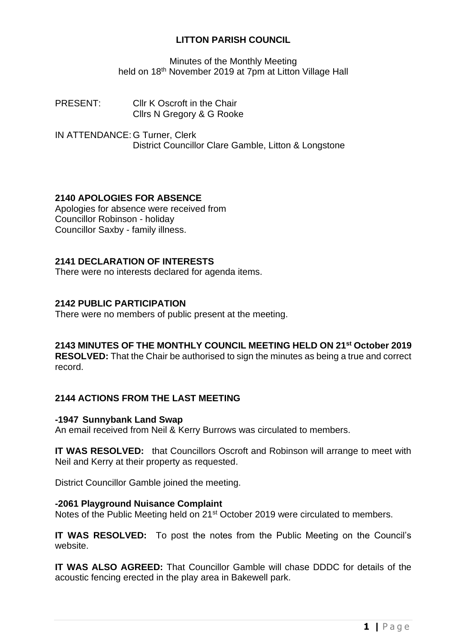### **LITTON PARISH COUNCIL**

Minutes of the Monthly Meeting held on 18<sup>th</sup> November 2019 at 7pm at Litton Village Hall

PRESENT: Cllr K Oscroft in the Chair Cllrs N Gregory & G Rooke

IN ATTENDANCE: G Turner, Clerk District Councillor Clare Gamble, Litton & Longstone

### **2140 APOLOGIES FOR ABSENCE**

Apologies for absence were received from Councillor Robinson - holiday Councillor Saxby - family illness.

### **2141 DECLARATION OF INTERESTS**

There were no interests declared for agenda items.

### **2142 PUBLIC PARTICIPATION**

There were no members of public present at the meeting.

### **2143 MINUTES OF THE MONTHLY COUNCIL MEETING HELD ON 21st October 2019**

**RESOLVED:** That the Chair be authorised to sign the minutes as being a true and correct record.

## **2144 ACTIONS FROM THE LAST MEETING**

#### **-1947 Sunnybank Land Swap**

An email received from Neil & Kerry Burrows was circulated to members.

**IT WAS RESOLVED:** that Councillors Oscroft and Robinson will arrange to meet with Neil and Kerry at their property as requested.

District Councillor Gamble joined the meeting.

#### **-2061 Playground Nuisance Complaint**

Notes of the Public Meeting held on 21<sup>st</sup> October 2019 were circulated to members.

**IT WAS RESOLVED:** To post the notes from the Public Meeting on the Council's website.

**IT WAS ALSO AGREED:** That Councillor Gamble will chase DDDC for details of the acoustic fencing erected in the play area in Bakewell park.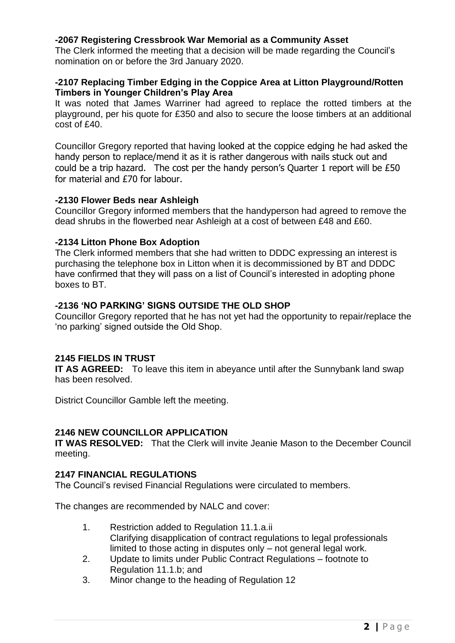### **-2067 Registering Cressbrook War Memorial as a Community Asset**

The Clerk informed the meeting that a decision will be made regarding the Council's nomination on or before the 3rd January 2020.

### **-2107 Replacing Timber Edging in the Coppice Area at Litton Playground/Rotten Timbers in Younger Children's Play Area**

It was noted that James Warriner had agreed to replace the rotted timbers at the playground, per his quote for £350 and also to secure the loose timbers at an additional cost of £40.

Councillor Gregory reported that having looked at the coppice edging he had asked the handy person to replace/mend it as it is rather dangerous with nails stuck out and could be a trip hazard. The cost per the handy person's Quarter 1 report will be £50 for material and £70 for labour.

### **-2130 Flower Beds near Ashleigh**

Councillor Gregory informed members that the handyperson had agreed to remove the dead shrubs in the flowerbed near Ashleigh at a cost of between £48 and £60.

### **-2134 Litton Phone Box Adoption**

The Clerk informed members that she had written to DDDC expressing an interest is purchasing the telephone box in Litton when it is decommissioned by BT and DDDC have confirmed that they will pass on a list of Council's interested in adopting phone boxes to BT.

## **-2136 'NO PARKING' SIGNS OUTSIDE THE OLD SHOP**

Councillor Gregory reported that he has not yet had the opportunity to repair/replace the 'no parking' signed outside the Old Shop.

## **2145 FIELDS IN TRUST**

**IT AS AGREED:** To leave this item in abeyance until after the Sunnybank land swap has been resolved.

District Councillor Gamble left the meeting.

### **2146 NEW COUNCILLOR APPLICATION**

**IT WAS RESOLVED:** That the Clerk will invite Jeanie Mason to the December Council meeting.

### **2147 FINANCIAL REGULATIONS**

The Council's revised Financial Regulations were circulated to members.

The changes are recommended by NALC and cover:

- 1. Restriction added to Regulation 11.1.a.ii Clarifying disapplication of contract regulations to legal professionals limited to those acting in disputes only – not general legal work.
- 2. Update to limits under Public Contract Regulations footnote to Regulation 11.1.b; and
- 3. Minor change to the heading of Regulation 12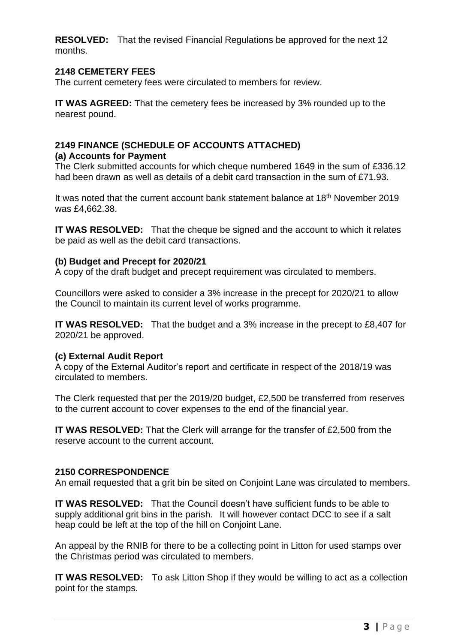**RESOLVED:** That the revised Financial Regulations be approved for the next 12 months.

### **2148 CEMETERY FEES**

The current cemetery fees were circulated to members for review.

**IT WAS AGREED:** That the cemetery fees be increased by 3% rounded up to the nearest pound.

# **2149 FINANCE (SCHEDULE OF ACCOUNTS ATTACHED)**

### **(a) Accounts for Payment**

The Clerk submitted accounts for which cheque numbered 1649 in the sum of £336.12 had been drawn as well as details of a debit card transaction in the sum of £71.93.

It was noted that the current account bank statement balance at 18<sup>th</sup> November 2019 was £4,662.38.

**IT WAS RESOLVED:** That the cheque be signed and the account to which it relates be paid as well as the debit card transactions.

### **(b) Budget and Precept for 2020/21**

A copy of the draft budget and precept requirement was circulated to members.

Councillors were asked to consider a 3% increase in the precept for 2020/21 to allow the Council to maintain its current level of works programme.

**IT WAS RESOLVED:** That the budget and a 3% increase in the precept to £8,407 for 2020/21 be approved.

### **(c) External Audit Report**

A copy of the External Auditor's report and certificate in respect of the 2018/19 was circulated to members.

The Clerk requested that per the 2019/20 budget, £2,500 be transferred from reserves to the current account to cover expenses to the end of the financial year.

**IT WAS RESOLVED:** That the Clerk will arrange for the transfer of £2,500 from the reserve account to the current account.

### **2150 CORRESPONDENCE**

An email requested that a grit bin be sited on Conjoint Lane was circulated to members.

**IT WAS RESOLVED:** That the Council doesn't have sufficient funds to be able to supply additional grit bins in the parish. It will however contact DCC to see if a salt heap could be left at the top of the hill on Conjoint Lane.

An appeal by the RNIB for there to be a collecting point in Litton for used stamps over the Christmas period was circulated to members.

**IT WAS RESOLVED:** To ask Litton Shop if they would be willing to act as a collection point for the stamps.